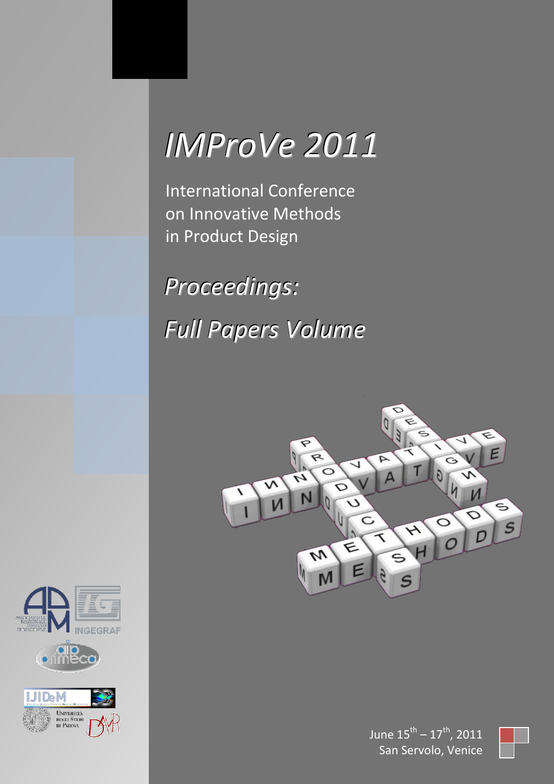# *IMProVe 2011*

International Conference on Innovative Methods in Product Design

*Proceedings: Full Papers Volume*







June  $15^{\text{th}} - 17^{\text{th}}$ , 2011 San Servolo, Venice

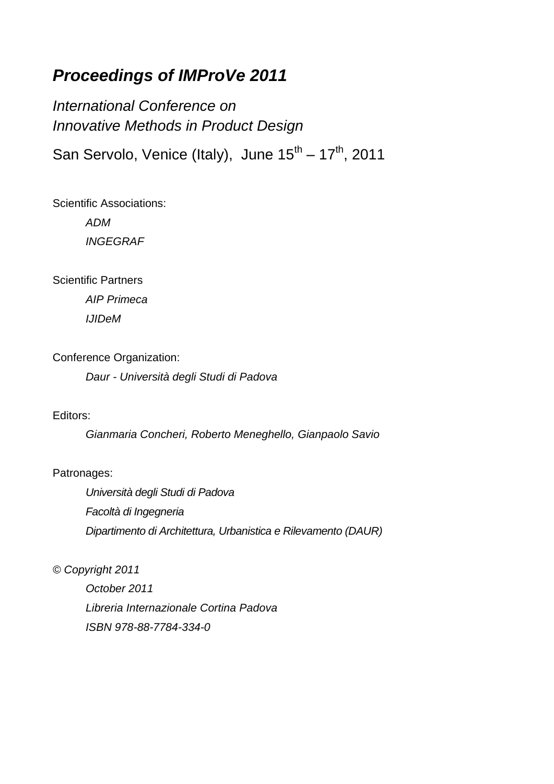# *Proceedings of IMProVe 2011*

*International Conference on Innovative Methods in Product Design*

San Servolo, Venice (Italy), June  $15^{th} - 17^{th}$ , 2011

Scientific Associations: *ADM*

*INGEGRAF*

Scientific Partners

*AIP Primeca IJIDeM*

Conference Organization:

*Daur - Università degli Studi di Padova*

Editors:

*Gianmaria Concheri, Roberto Meneghello, Gianpaolo Savio*

#### Patronages:

*Università degli Studi di Padova Facoltà di Ingegneria Dipartimento di Architettura, Urbanistica e Rilevamento (DAUR)*

*© Copyright 2011*

*October 2011 Libreria Internazionale Cortina Padova ISBN 978-88-7784-334-0*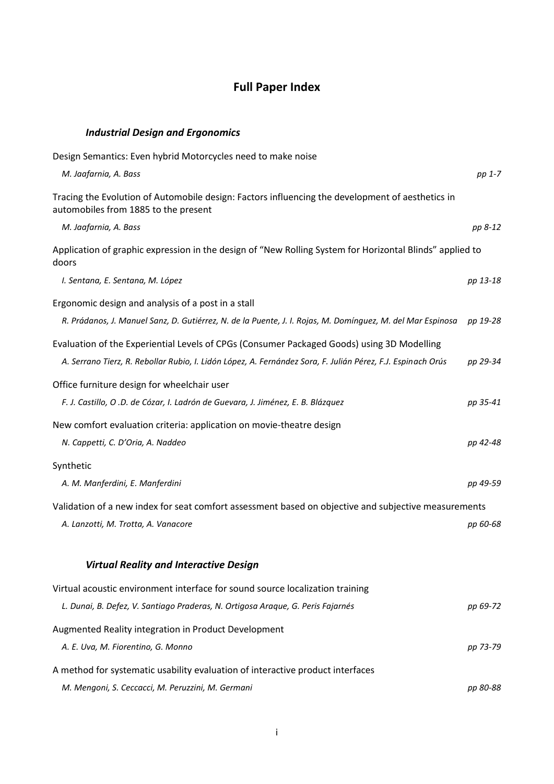# **Full Paper Index**

## *Industrial Design and Ergonomics*

| Design Semantics: Even hybrid Motorcycles need to make noise                                                                             |          |
|------------------------------------------------------------------------------------------------------------------------------------------|----------|
| M. Jaafarnia, A. Bass                                                                                                                    | pp 1-7   |
| Tracing the Evolution of Automobile design: Factors influencing the development of aesthetics in<br>automobiles from 1885 to the present |          |
| M. Jaafarnia, A. Bass                                                                                                                    | pp 8-12  |
| Application of graphic expression in the design of "New Rolling System for Horizontal Blinds" applied to<br>doors                        |          |
| I. Sentana, E. Sentana, M. López                                                                                                         | pp 13-18 |
| Ergonomic design and analysis of a post in a stall                                                                                       |          |
| R. Prádanos, J. Manuel Sanz, D. Gutiérrez, N. de la Puente, J. I. Rojas, M. Domínguez, M. del Mar Espinosa                               | pp 19-28 |
| Evaluation of the Experiential Levels of CPGs (Consumer Packaged Goods) using 3D Modelling                                               |          |
| A. Serrano Tierz, R. Rebollar Rubio, I. Lidón López, A. Fernández Sora, F. Julián Pérez, F.J. Espinach Orús                              | pp 29-34 |
| Office furniture design for wheelchair user                                                                                              |          |
| F. J. Castillo, O .D. de Cózar, I. Ladrón de Guevara, J. Jiménez, E. B. Blázquez                                                         | pp 35-41 |
| New comfort evaluation criteria: application on movie-theatre design                                                                     |          |
| N. Cappetti, C. D'Oria, A. Naddeo                                                                                                        | pp 42-48 |
| Synthetic                                                                                                                                |          |
| A. M. Manferdini, E. Manferdini                                                                                                          | pp 49-59 |
| Validation of a new index for seat comfort assessment based on objective and subjective measurements                                     |          |
| A. Lanzotti, M. Trotta, A. Vanacore                                                                                                      | pp 60-68 |
| <b>Virtual Reality and Interactive Design</b>                                                                                            |          |
| Virtual acoustic environment interface for sound source localization training                                                            |          |
| L. Dunai, B. Defez, V. Santiago Praderas, N. Ortigosa Araque, G. Peris Fajarnés                                                          | pp 69-72 |
| Augmented Reality integration in Product Development                                                                                     |          |
| A. E. Uva, M. Fiorentino, G. Monno                                                                                                       | pp 73-79 |
| A method for systematic usability evaluation of interactive product interfaces                                                           |          |
| M. Mengoni, S. Ceccacci, M. Peruzzini, M. Germani                                                                                        | pp 80-88 |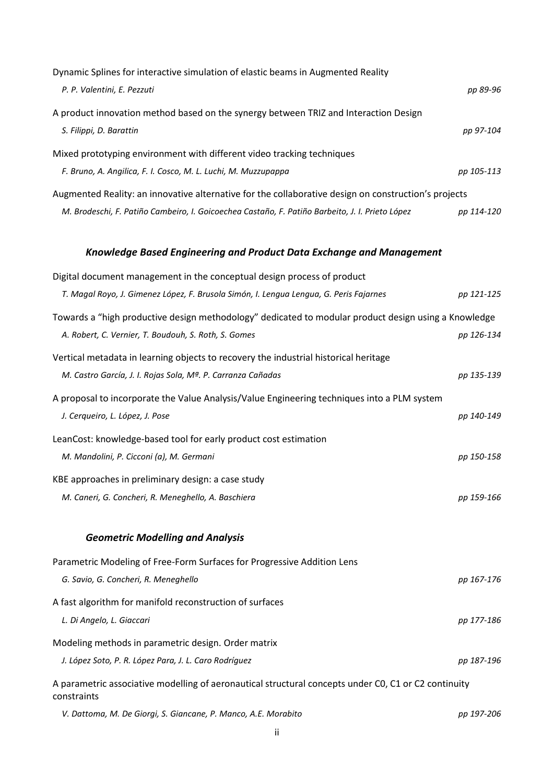| Dynamic Splines for interactive simulation of elastic beams in Augmented Reality                                    |            |
|---------------------------------------------------------------------------------------------------------------------|------------|
| P. P. Valentini, E. Pezzuti                                                                                         | pp 89-96   |
| A product innovation method based on the synergy between TRIZ and Interaction Design                                |            |
| S. Filippi, D. Barattin                                                                                             | pp 97-104  |
| Mixed prototyping environment with different video tracking techniques                                              |            |
| F. Bruno, A. Angilica, F. I. Cosco, M. L. Luchi, M. Muzzupappa                                                      | pp 105-113 |
| Augmented Reality: an innovative alternative for the collaborative design on construction's projects                |            |
| M. Brodeschi, F. Patiño Cambeiro, I. Goicoechea Castaño, F. Patiño Barbeito, J. I. Prieto López                     | pp 114-120 |
| <b>Knowledge Based Engineering and Product Data Exchange and Management</b>                                         |            |
| Digital document management in the conceptual design process of product                                             |            |
| T. Magal Royo, J. Gimenez López, F. Brusola Simón, I. Lengua Lengua, G. Peris Fajarnes                              | pp 121-125 |
| Towards a "high productive design methodology" dedicated to modular product design using a Knowledge                |            |
| A. Robert, C. Vernier, T. Boudouh, S. Roth, S. Gomes                                                                | pp 126-134 |
| Vertical metadata in learning objects to recovery the industrial historical heritage                                |            |
| M. Castro García, J. I. Rojas Sola, Mª. P. Carranza Cañadas                                                         | pp 135-139 |
| A proposal to incorporate the Value Analysis/Value Engineering techniques into a PLM system                         |            |
| J. Cerqueiro, L. López, J. Pose                                                                                     | pp 140-149 |
| LeanCost: knowledge-based tool for early product cost estimation                                                    |            |
| M. Mandolini, P. Cicconi (a), M. Germani                                                                            | pp 150-158 |
| KBE approaches in preliminary design: a case study                                                                  |            |
| M. Caneri, G. Concheri, R. Meneghello, A. Baschiera                                                                 | pp 159-166 |
| <b>Geometric Modelling and Analysis</b>                                                                             |            |
| Parametric Modeling of Free-Form Surfaces for Progressive Addition Lens                                             |            |
| G. Savio, G. Concheri, R. Meneghello                                                                                | pp 167-176 |
| A fast algorithm for manifold reconstruction of surfaces                                                            |            |
| L. Di Angelo, L. Giaccari                                                                                           | pp 177-186 |
| Modeling methods in parametric design. Order matrix                                                                 |            |
| J. López Soto, P. R. López Para, J. L. Caro Rodríguez                                                               | pp 187-196 |
| A parametric associative modelling of aeronautical structural concepts under CO, C1 or C2 continuity<br>constraints |            |
| V. Dattoma, M. De Giorgi, S. Giancane, P. Manco, A.E. Morabito                                                      | pp 197-206 |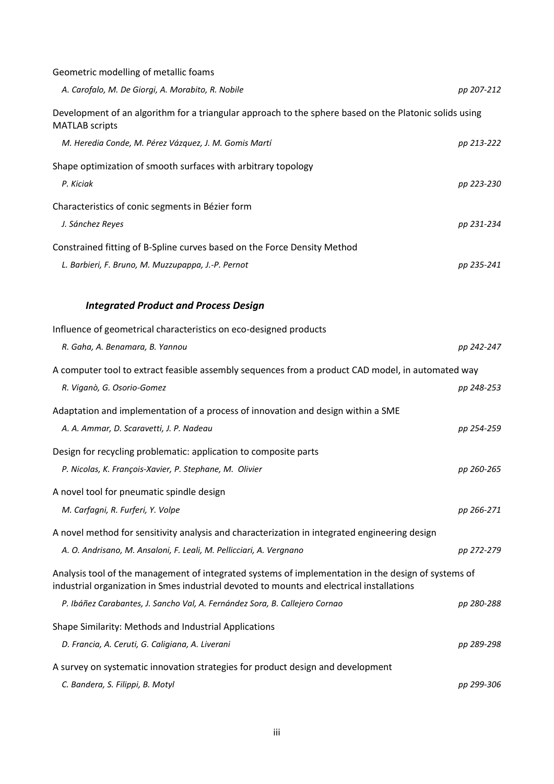| Geometric modelling of metallic foams                                                                                                                                                            |            |
|--------------------------------------------------------------------------------------------------------------------------------------------------------------------------------------------------|------------|
| A. Carofalo, M. De Giorgi, A. Morabito, R. Nobile                                                                                                                                                | pp 207-212 |
| Development of an algorithm for a triangular approach to the sphere based on the Platonic solids using<br><b>MATLAB</b> scripts                                                                  |            |
| M. Heredia Conde, M. Pérez Vázquez, J. M. Gomis Martí                                                                                                                                            | pp 213-222 |
| Shape optimization of smooth surfaces with arbitrary topology                                                                                                                                    |            |
| P. Kiciak                                                                                                                                                                                        | pp 223-230 |
| Characteristics of conic segments in Bézier form                                                                                                                                                 |            |
| J. Sánchez Reyes                                                                                                                                                                                 | pp 231-234 |
| Constrained fitting of B-Spline curves based on the Force Density Method                                                                                                                         |            |
| L. Barbieri, F. Bruno, M. Muzzupappa, J.-P. Pernot                                                                                                                                               | pp 235-241 |
|                                                                                                                                                                                                  |            |
| <b>Integrated Product and Process Design</b>                                                                                                                                                     |            |
| Influence of geometrical characteristics on eco-designed products                                                                                                                                |            |
| R. Gaha, A. Benamara, B. Yannou                                                                                                                                                                  | pp 242-247 |
| A computer tool to extract feasible assembly sequences from a product CAD model, in automated way                                                                                                |            |
| R. Viganò, G. Osorio-Gomez                                                                                                                                                                       | pp 248-253 |
| Adaptation and implementation of a process of innovation and design within a SME                                                                                                                 |            |
| A. A. Ammar, D. Scaravetti, J. P. Nadeau                                                                                                                                                         | pp 254-259 |
| Design for recycling problematic: application to composite parts                                                                                                                                 |            |
| P. Nicolas, K. François-Xavier, P. Stephane, M. Olivier                                                                                                                                          | pp 260-265 |
| A novel tool for pneumatic spindle design                                                                                                                                                        |            |
| M. Carfagni, R. Furferi, Y. Volpe                                                                                                                                                                | pp 266-271 |
| A novel method for sensitivity analysis and characterization in integrated engineering design                                                                                                    |            |
| A. O. Andrisano, M. Ansaloni, F. Leali, M. Pellicciari, A. Vergnano                                                                                                                              | pp 272-279 |
| Analysis tool of the management of integrated systems of implementation in the design of systems of<br>industrial organization in Smes industrial devoted to mounts and electrical installations |            |
| P. Ibáñez Carabantes, J. Sancho Val, A. Fernández Sora, B. Callejero Cornao                                                                                                                      | pp 280-288 |
| Shape Similarity: Methods and Industrial Applications                                                                                                                                            |            |
| D. Francia, A. Ceruti, G. Caligiana, A. Liverani                                                                                                                                                 | pp 289-298 |
| A survey on systematic innovation strategies for product design and development                                                                                                                  |            |
| C. Bandera, S. Filippi, B. Motyl                                                                                                                                                                 | pp 299-306 |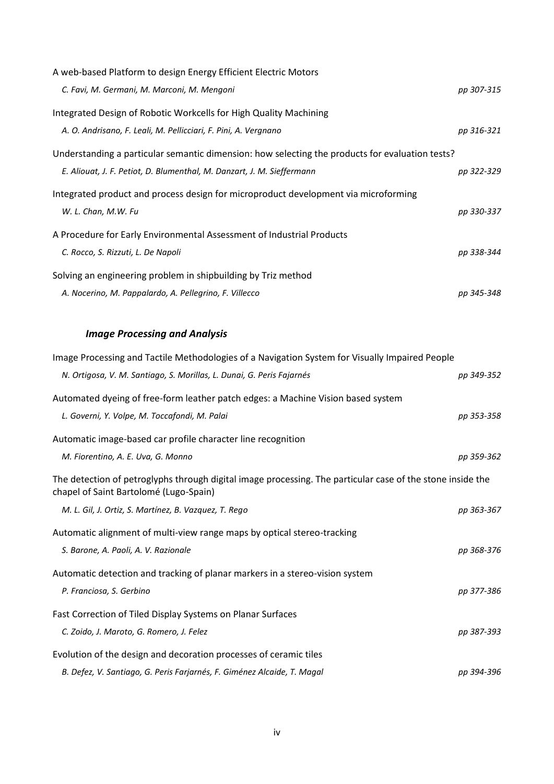| A web-based Platform to design Energy Efficient Electric Motors                                 |            |
|-------------------------------------------------------------------------------------------------|------------|
| C. Favi, M. Germani, M. Marconi, M. Mengoni                                                     | pp 307-315 |
| Integrated Design of Robotic Workcells for High Quality Machining                               |            |
| A. O. Andrisano, F. Leali, M. Pellicciari, F. Pini, A. Vergnano                                 | pp 316-321 |
| Understanding a particular semantic dimension: how selecting the products for evaluation tests? |            |
| E. Aliouat, J. F. Petiot, D. Blumenthal, M. Danzart, J. M. Sieffermann                          | pp 322-329 |
| Integrated product and process design for microproduct development via microforming             |            |
| W. L. Chan, M.W. Fu                                                                             | pp 330-337 |
| A Procedure for Early Environmental Assessment of Industrial Products                           |            |
| C. Rocco, S. Rizzuti, L. De Napoli                                                              | pp 338-344 |
| Solving an engineering problem in shipbuilding by Triz method                                   |            |
| A. Nocerino, M. Pappalardo, A. Pellegrino, F. Villecco                                          | pp 345-348 |

## *Image Processing and Analysis*

| Image Processing and Tactile Methodologies of a Navigation System for Visually Impaired People                                                       |            |
|------------------------------------------------------------------------------------------------------------------------------------------------------|------------|
| N. Ortigosa, V. M. Santiago, S. Morillas, L. Dunai, G. Peris Fajarnés                                                                                | pp 349-352 |
| Automated dyeing of free-form leather patch edges: a Machine Vision based system                                                                     |            |
| L. Governi, Y. Volpe, M. Toccafondi, M. Palai                                                                                                        | pp 353-358 |
| Automatic image-based car profile character line recognition                                                                                         |            |
| M. Fiorentino, A. E. Uva, G. Monno                                                                                                                   | pp 359-362 |
| The detection of petroglyphs through digital image processing. The particular case of the stone inside the<br>chapel of Saint Bartolomé (Lugo-Spain) |            |
| M. L. Gil, J. Ortiz, S. Martínez, B. Vazquez, T. Rego                                                                                                | pp 363-367 |
| Automatic alignment of multi-view range maps by optical stereo-tracking                                                                              |            |
| S. Barone, A. Paoli, A. V. Razionale                                                                                                                 | pp 368-376 |
| Automatic detection and tracking of planar markers in a stereo-vision system                                                                         |            |
| P. Franciosa, S. Gerbino                                                                                                                             | pp 377-386 |
| Fast Correction of Tiled Display Systems on Planar Surfaces                                                                                          |            |
| C. Zoido, J. Maroto, G. Romero, J. Felez                                                                                                             | pp 387-393 |
| Evolution of the design and decoration processes of ceramic tiles                                                                                    |            |
| B. Defez, V. Santiago, G. Peris Farjarnés, F. Giménez Alcaide, T. Magal                                                                              | pp 394-396 |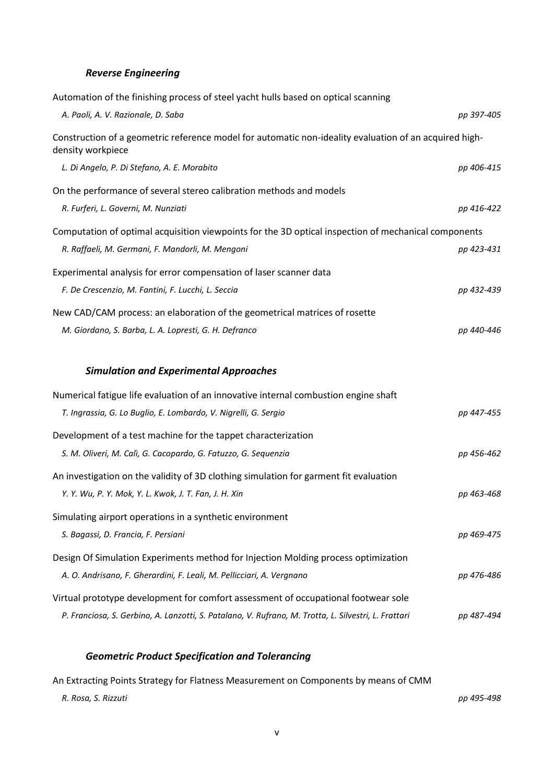#### *Reverse Engineering*

| Automation of the finishing process of steel yacht hulls based on optical scanning                                          |            |
|-----------------------------------------------------------------------------------------------------------------------------|------------|
| A. Paoli, A. V. Razionale, D. Saba                                                                                          | pp 397-405 |
| Construction of a geometric reference model for automatic non-ideality evaluation of an acquired high-<br>density workpiece |            |
| L. Di Angelo, P. Di Stefano, A. E. Morabito                                                                                 | pp 406-415 |
| On the performance of several stereo calibration methods and models                                                         |            |
| R. Furferi, L. Governi, M. Nunziati                                                                                         | pp 416-422 |
| Computation of optimal acquisition viewpoints for the 3D optical inspection of mechanical components                        |            |
| R. Raffaeli, M. Germani, F. Mandorli, M. Mengoni                                                                            | pp 423-431 |
| Experimental analysis for error compensation of laser scanner data                                                          |            |
| F. De Crescenzio, M. Fantini, F. Lucchi, L. Seccia                                                                          | pp 432-439 |
| New CAD/CAM process: an elaboration of the geometrical matrices of rosette                                                  |            |
| M. Giordano, S. Barba, L. A. Lopresti, G. H. Defranco                                                                       | pp 440-446 |
|                                                                                                                             |            |
|                                                                                                                             |            |
| <b>Simulation and Experimental Approaches</b>                                                                               |            |
| Numerical fatigue life evaluation of an innovative internal combustion engine shaft                                         |            |
| T. Ingrassia, G. Lo Buglio, E. Lombardo, V. Nigrelli, G. Sergio                                                             | pp 447-455 |
| Development of a test machine for the tappet characterization                                                               |            |
| S. M. Oliveri, M. Calì, G. Cacopardo, G. Fatuzzo, G. Sequenzia                                                              | pp 456-462 |
| An investigation on the validity of 3D clothing simulation for garment fit evaluation                                       |            |
| Y. Y. Wu, P. Y. Mok, Y. L. Kwok, J. T. Fan, J. H. Xin                                                                       | pp 463-468 |
| Simulating airport operations in a synthetic environment                                                                    |            |
| S. Bagassi, D. Francia, F. Persiani                                                                                         | pp 469-475 |
| Design Of Simulation Experiments method for Injection Molding process optimization                                          |            |
| A. O. Andrisano, F. Gherardini, F. Leali, M. Pellicciari, A. Vergnano                                                       | pp 476-486 |
| Virtual prototype development for comfort assessment of occupational footwear sole                                          |            |

#### *Geometric Product Specification and Tolerancing*

| An Extracting Points Strategy for Flatness Measurement on Components by means of CMM |            |
|--------------------------------------------------------------------------------------|------------|
| R. Rosa. S. Rizzuti                                                                  | pp 495-498 |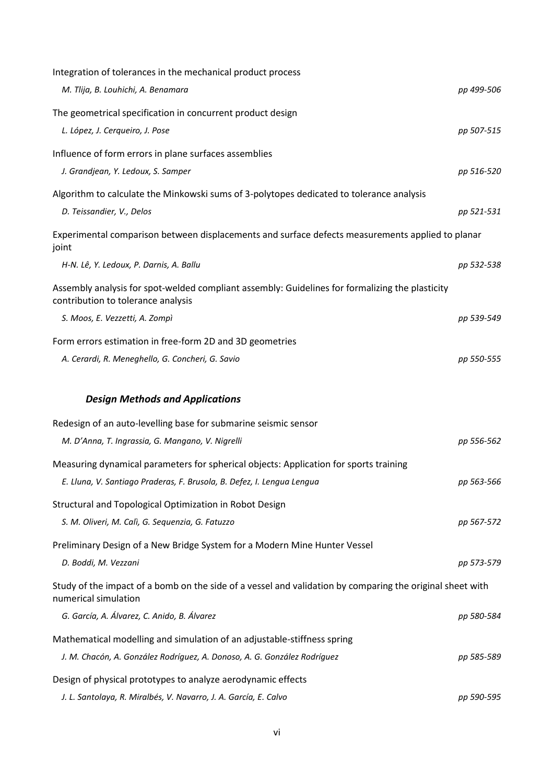| Integration of tolerances in the mechanical product process                                                                           |            |
|---------------------------------------------------------------------------------------------------------------------------------------|------------|
| M. Tlija, B. Louhichi, A. Benamara                                                                                                    | pp 499-506 |
| The geometrical specification in concurrent product design                                                                            |            |
| L. López, J. Cerqueiro, J. Pose                                                                                                       | pp 507-515 |
| Influence of form errors in plane surfaces assemblies                                                                                 |            |
| J. Grandjean, Y. Ledoux, S. Samper                                                                                                    | pp 516-520 |
| Algorithm to calculate the Minkowski sums of 3-polytopes dedicated to tolerance analysis                                              |            |
| D. Teissandier, V., Delos                                                                                                             | pp 521-531 |
| Experimental comparison between displacements and surface defects measurements applied to planar<br>joint                             |            |
| H-N. Lê, Y. Ledoux, P. Darnis, A. Ballu                                                                                               | pp 532-538 |
| Assembly analysis for spot-welded compliant assembly: Guidelines for formalizing the plasticity<br>contribution to tolerance analysis |            |
| S. Moos, E. Vezzetti, A. Zompì                                                                                                        | pp 539-549 |
| Form errors estimation in free-form 2D and 3D geometries                                                                              |            |
| A. Cerardi, R. Meneghello, G. Concheri, G. Savio                                                                                      | pp 550-555 |
|                                                                                                                                       |            |
|                                                                                                                                       |            |
| <b>Design Methods and Applications</b>                                                                                                |            |
| Redesign of an auto-levelling base for submarine seismic sensor                                                                       |            |
| M. D'Anna, T. Ingrassia, G. Mangano, V. Nigrelli                                                                                      | pp 556-562 |
| Measuring dynamical parameters for spherical objects: Application for sports training                                                 |            |
| E. Lluna, V. Santiago Praderas, F. Brusola, B. Defez, I. Lengua Lengua                                                                | pp 563-566 |
| Structural and Topological Optimization in Robot Design                                                                               |            |
| S. M. Oliveri, M. Calì, G. Sequenzia, G. Fatuzzo                                                                                      | pp 567-572 |
| Preliminary Design of a New Bridge System for a Modern Mine Hunter Vessel                                                             |            |
| D. Boddi, M. Vezzani                                                                                                                  | pp 573-579 |
| Study of the impact of a bomb on the side of a vessel and validation by comparing the original sheet with<br>numerical simulation     |            |
| G. García, A. Álvarez, C. Anido, B. Álvarez                                                                                           | pp 580-584 |
| Mathematical modelling and simulation of an adjustable-stiffness spring                                                               |            |
| J. M. Chacón, A. González Rodríguez, A. Donoso, A. G. González Rodríguez                                                              | pp 585-589 |
| Design of physical prototypes to analyze aerodynamic effects                                                                          |            |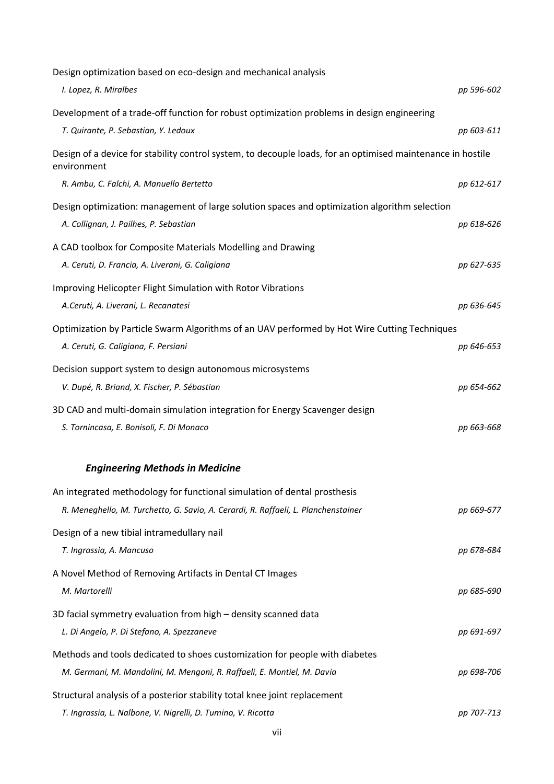| Design optimization based on eco-design and mechanical analysis                                                                         |            |
|-----------------------------------------------------------------------------------------------------------------------------------------|------------|
| I. Lopez, R. Miralbes                                                                                                                   | pp 596-602 |
| Development of a trade-off function for robust optimization problems in design engineering                                              |            |
| T. Quirante, P. Sebastian, Y. Ledoux                                                                                                    | pp 603-611 |
| Design of a device for stability control system, to decouple loads, for an optimised maintenance in hostile<br>environment              |            |
| R. Ambu, C. Falchi, A. Manuello Bertetto                                                                                                | pp 612-617 |
| Design optimization: management of large solution spaces and optimization algorithm selection<br>A. Collignan, J. Pailhes, P. Sebastian | pp 618-626 |
| A CAD toolbox for Composite Materials Modelling and Drawing                                                                             |            |
| A. Ceruti, D. Francia, A. Liverani, G. Caligiana                                                                                        | pp 627-635 |
| Improving Helicopter Flight Simulation with Rotor Vibrations                                                                            |            |
| A.Ceruti, A. Liverani, L. Recanatesi                                                                                                    | pp 636-645 |
| Optimization by Particle Swarm Algorithms of an UAV performed by Hot Wire Cutting Techniques                                            |            |
| A. Ceruti, G. Caligiana, F. Persiani                                                                                                    | pp 646-653 |
| Decision support system to design autonomous microsystems<br>V. Dupé, R. Briand, X. Fischer, P. Sébastian                               | pp 654-662 |
| 3D CAD and multi-domain simulation integration for Energy Scavenger design                                                              |            |
| S. Tornincasa, E. Bonisoli, F. Di Monaco                                                                                                | pp 663-668 |
| <b>Engineering Methods in Medicine</b>                                                                                                  |            |
| An integrated methodology for functional simulation of dental prosthesis                                                                |            |
| R. Meneghello, M. Turchetto, G. Savio, A. Cerardi, R. Raffaeli, L. Planchenstainer                                                      | pp 669-677 |
| Design of a new tibial intramedullary nail                                                                                              |            |
| T. Ingrassia, A. Mancuso                                                                                                                | pp 678-684 |
| A Novel Method of Removing Artifacts in Dental CT Images                                                                                |            |
| M. Martorelli                                                                                                                           | pp 685-690 |
| 3D facial symmetry evaluation from high – density scanned data                                                                          |            |
| L. Di Angelo, P. Di Stefano, A. Spezzaneve                                                                                              | pp 691-697 |
| Methods and tools dedicated to shoes customization for people with diabetes                                                             |            |
| M. Germani, M. Mandolini, M. Mengoni, R. Raffaeli, E. Montiel, M. Davia                                                                 | pp 698-706 |
| Structural analysis of a posterior stability total knee joint replacement                                                               |            |
| T. Ingrassia, L. Nalbone, V. Nigrelli, D. Tumino, V. Ricotta                                                                            | pp 707-713 |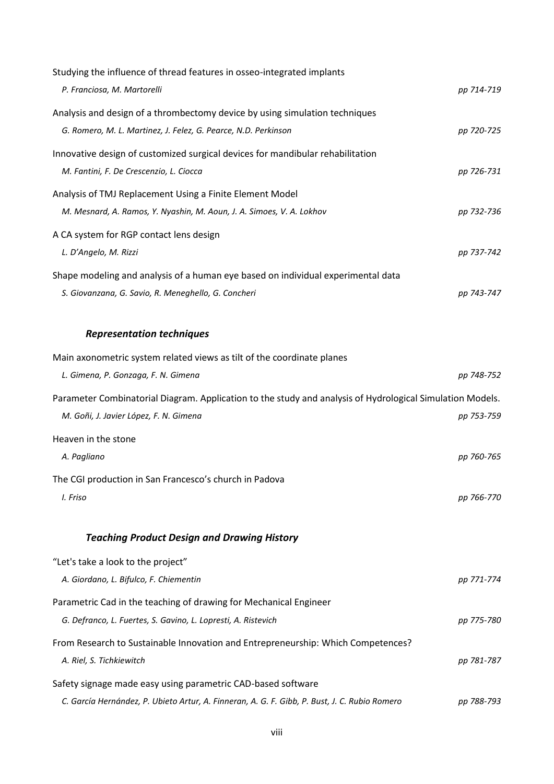| Studying the influence of thread features in osseo-integrated implants                                                                              |            |
|-----------------------------------------------------------------------------------------------------------------------------------------------------|------------|
| P. Franciosa, M. Martorelli                                                                                                                         | pp 714-719 |
| Analysis and design of a thrombectomy device by using simulation techniques                                                                         |            |
| G. Romero, M. L. Martinez, J. Felez, G. Pearce, N.D. Perkinson                                                                                      | pp 720-725 |
| Innovative design of customized surgical devices for mandibular rehabilitation                                                                      |            |
| M. Fantini, F. De Crescenzio, L. Ciocca                                                                                                             | pp 726-731 |
| Analysis of TMJ Replacement Using a Finite Element Model                                                                                            |            |
| M. Mesnard, A. Ramos, Y. Nyashin, M. Aoun, J. A. Simoes, V. A. Lokhov                                                                               | pp 732-736 |
| A CA system for RGP contact lens design                                                                                                             |            |
| L. D'Angelo, M. Rizzi                                                                                                                               | pp 737-742 |
| Shape modeling and analysis of a human eye based on individual experimental data                                                                    |            |
| S. Giovanzana, G. Savio, R. Meneghello, G. Concheri                                                                                                 | pp 743-747 |
|                                                                                                                                                     |            |
| <b>Representation techniques</b>                                                                                                                    |            |
| Main axonometric system related views as tilt of the coordinate planes<br>L. Gimena, P. Gonzaga, F. N. Gimena                                       | pp 748-752 |
|                                                                                                                                                     |            |
| Parameter Combinatorial Diagram. Application to the study and analysis of Hydrological Simulation Models.<br>M. Goñi, J. Javier López, F. N. Gimena | pp 753-759 |
| Heaven in the stone                                                                                                                                 |            |
| A. Pagliano                                                                                                                                         | pp 760-765 |
| The CGI production in San Francesco's church in Padova                                                                                              |            |
| I. Friso                                                                                                                                            | pp 766-770 |
|                                                                                                                                                     |            |
| <b>Teaching Product Design and Drawing History</b>                                                                                                  |            |
| "Let's take a look to the project"                                                                                                                  |            |
| A. Giordano, L. Bifulco, F. Chiementin                                                                                                              | pp 771-774 |
| Parametric Cad in the teaching of drawing for Mechanical Engineer                                                                                   |            |
| G. Defranco, L. Fuertes, S. Gavino, L. Lopresti, A. Ristevich                                                                                       | pp 775-780 |
| From Research to Sustainable Innovation and Entrepreneurship: Which Competences?                                                                    |            |
| A. Riel, S. Tichkiewitch                                                                                                                            | pp 781-787 |
| Safety signage made easy using parametric CAD-based software                                                                                        |            |
| C. García Hernández, P. Ubieto Artur, A. Finneran, A. G. F. Gibb, P. Bust, J. C. Rubio Romero                                                       | pp 788-793 |
|                                                                                                                                                     |            |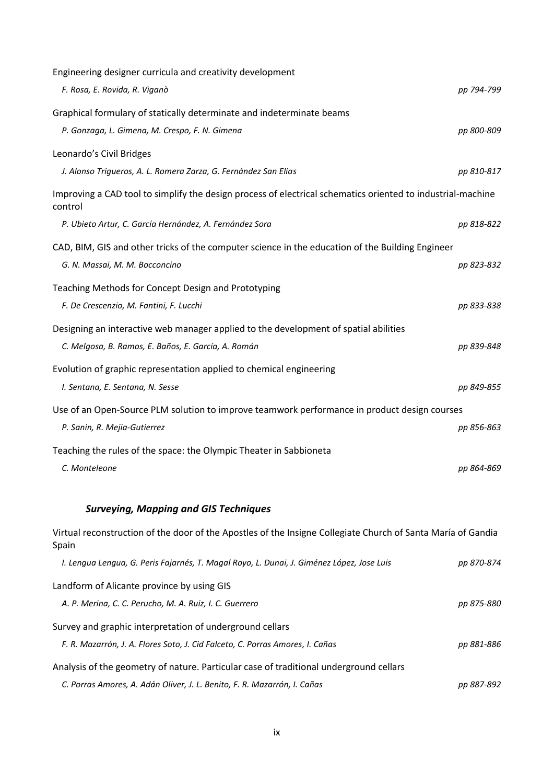| Engineering designer curricula and creativity development                                                              |            |
|------------------------------------------------------------------------------------------------------------------------|------------|
| F. Rosa, E. Rovida, R. Viganò                                                                                          | pp 794-799 |
| Graphical formulary of statically determinate and indeterminate beams                                                  |            |
| P. Gonzaga, L. Gimena, M. Crespo, F. N. Gimena                                                                         | pp 800-809 |
| Leonardo's Civil Bridges                                                                                               |            |
| J. Alonso Trigueros, A. L. Romera Zarza, G. Fernández San Elías                                                        | pp 810-817 |
| Improving a CAD tool to simplify the design process of electrical schematics oriented to industrial-machine<br>control |            |
| P. Ubieto Artur, C. García Hernández, A. Fernández Sora                                                                | pp 818-822 |
| CAD, BIM, GIS and other tricks of the computer science in the education of the Building Engineer                       |            |
| G. N. Massai, M. M. Bocconcino                                                                                         | pp 823-832 |
| Teaching Methods for Concept Design and Prototyping                                                                    |            |
| F. De Crescenzio, M. Fantini, F. Lucchi                                                                                | pp 833-838 |
| Designing an interactive web manager applied to the development of spatial abilities                                   |            |
| C. Melgosa, B. Ramos, E. Baños, E. García, A. Román                                                                    | pp 839-848 |
| Evolution of graphic representation applied to chemical engineering                                                    |            |
| I. Sentana, E. Sentana, N. Sesse                                                                                       | pp 849-855 |
| Use of an Open-Source PLM solution to improve teamwork performance in product design courses                           |            |
| P. Sanin, R. Mejia-Gutierrez                                                                                           | pp 856-863 |
| Teaching the rules of the space: the Olympic Theater in Sabbioneta                                                     |            |
| C. Monteleone                                                                                                          | pp 864-869 |
|                                                                                                                        |            |
| <b>Surveying, Mapping and GIS Techniques</b>                                                                           |            |
| Virtual reconstruction of the door of the Apostles of the Insigne Collegiate Church of Santa María of Gandia<br>Spain  |            |
| I. Lengua Lengua, G. Peris Fajarnés, T. Magal Royo, L. Dunai, J. Giménez López, Jose Luis                              | pp 870-874 |
| Landform of Alicante province by using GIS                                                                             |            |
| A. P. Merina, C. C. Perucho, M. A. Ruiz, I. C. Guerrero                                                                | pp 875-880 |
| Survey and graphic interpretation of underground cellars                                                               |            |
| F. R. Mazarrón, J. A. Flores Soto, J. Cid Falceto, C. Porras Amores, I. Cañas                                          | pp 881-886 |
| Analysis of the geometry of nature. Particular case of traditional underground cellars                                 |            |
| C. Porras Amores, A. Adán Oliver, J. L. Benito, F. R. Mazarrón, I. Cañas                                               | pp 887-892 |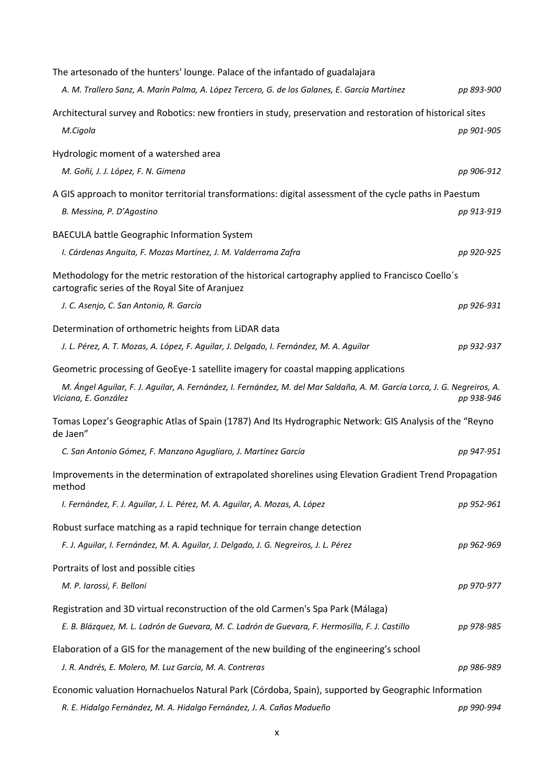| The artesonado of the hunters' lounge. Palace of the infantado of guadalajara                                                                          |            |
|--------------------------------------------------------------------------------------------------------------------------------------------------------|------------|
| A. M. Trallero Sanz, A. Marín Palma, A. López Tercero, G. de los Galanes, E. García Martínez                                                           | pp 893-900 |
| Architectural survey and Robotics: new frontiers in study, preservation and restoration of historical sites                                            |            |
| M.Cigola                                                                                                                                               | pp 901-905 |
| Hydrologic moment of a watershed area                                                                                                                  |            |
| M. Goñi, J. J. López, F. N. Gimena                                                                                                                     | pp 906-912 |
| A GIS approach to monitor territorial transformations: digital assessment of the cycle paths in Paestum                                                |            |
| B. Messina, P. D'Agostino                                                                                                                              | pp 913-919 |
| <b>BAECULA battle Geographic Information System</b>                                                                                                    |            |
| I. Cárdenas Anguita, F. Mozas Martínez, J. M. Valderrama Zafra                                                                                         | pp 920-925 |
| Methodology for the metric restoration of the historical cartography applied to Francisco Coello's<br>cartografic series of the Royal Site of Aranjuez |            |
| J. C. Asenjo, C. San Antonio, R. García                                                                                                                | pp 926-931 |
| Determination of orthometric heights from LiDAR data                                                                                                   |            |
| J. L. Pérez, A. T. Mozas, A. López, F. Aguilar, J. Delgado, I. Fernández, M. A. Aguilar                                                                | pp 932-937 |
| Geometric processing of GeoEye-1 satellite imagery for coastal mapping applications                                                                    |            |
| M. Ángel Aguilar, F. J. Aguilar, A. Fernández, I. Fernández, M. del Mar Saldaña, A. M. García Lorca, J. G. Negreiros, A.<br>Viciana, E. González       | pp 938-946 |
| Tomas Lopez's Geographic Atlas of Spain (1787) And Its Hydrographic Network: GIS Analysis of the "Reyno<br>de Jaen"                                    |            |
| C. San Antonio Gómez, F. Manzano Agugliaro, J. Martínez García                                                                                         | pp 947-951 |
| Improvements in the determination of extrapolated shorelines using Elevation Gradient Trend Propagation<br>method                                      |            |
| I. Fernández, F. J. Aguilar, J. L. Pérez, M. A. Aguilar, A. Mozas, A. López                                                                            | pp 952-961 |
| Robust surface matching as a rapid technique for terrain change detection                                                                              |            |
| F. J. Aguilar, I. Fernández, M. A. Aguilar, J. Delgado, J. G. Negreiros, J. L. Pérez                                                                   | pp 962-969 |
| Portraits of lost and possible cities                                                                                                                  |            |
| M. P. Iarossi, F. Belloni                                                                                                                              | pp 970-977 |
| Registration and 3D virtual reconstruction of the old Carmen's Spa Park (Málaga)                                                                       |            |
| E. B. Blázquez, M. L. Ladrón de Guevara, M. C. Ladrón de Guevara, F. Hermosilla, F. J. Castillo                                                        | pp 978-985 |
| Elaboration of a GIS for the management of the new building of the engineering's school                                                                |            |
| J. R. Andrés, E. Molero, M. Luz García, M. A. Contreras                                                                                                | pp 986-989 |
| Economic valuation Hornachuelos Natural Park (Córdoba, Spain), supported by Geographic Information                                                     |            |
| R. E. Hidalgo Fernández, M. A. Hidalgo Fernández, J. A. Cañas Madueño                                                                                  | pp 990-994 |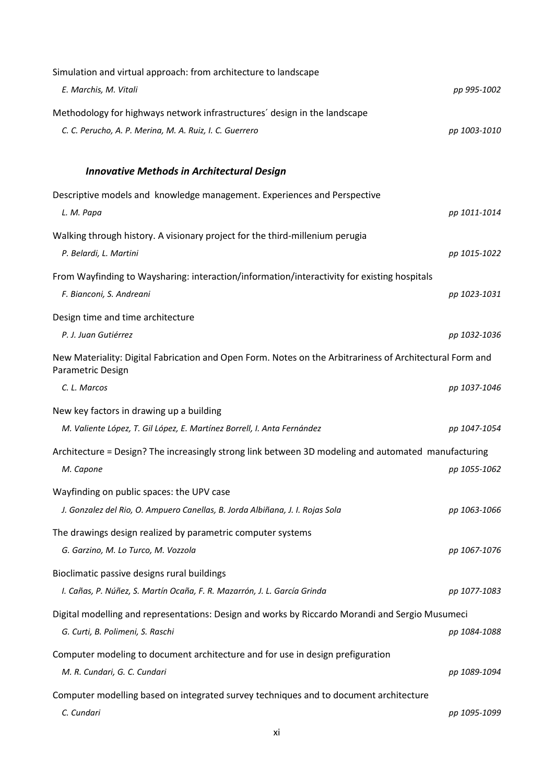| Simulation and virtual approach: from architecture to landscape                                                               |              |  |
|-------------------------------------------------------------------------------------------------------------------------------|--------------|--|
| E. Marchis, M. Vitali                                                                                                         | pp 995-1002  |  |
| Methodology for highways network infrastructures' design in the landscape                                                     |              |  |
| C. C. Perucho, A. P. Merina, M. A. Ruiz, I. C. Guerrero                                                                       | pp 1003-1010 |  |
|                                                                                                                               |              |  |
| <b>Innovative Methods in Architectural Design</b>                                                                             |              |  |
| Descriptive models and knowledge management. Experiences and Perspective                                                      |              |  |
| L. M. Papa                                                                                                                    | pp 1011-1014 |  |
| Walking through history. A visionary project for the third-millenium perugia                                                  |              |  |
| P. Belardi, L. Martini                                                                                                        | pp 1015-1022 |  |
| From Wayfinding to Waysharing: interaction/information/interactivity for existing hospitals                                   |              |  |
| F. Bianconi, S. Andreani                                                                                                      | pp 1023-1031 |  |
| Design time and time architecture                                                                                             |              |  |
| P. J. Juan Gutiérrez                                                                                                          | pp 1032-1036 |  |
| New Materiality: Digital Fabrication and Open Form. Notes on the Arbitrariness of Architectural Form and<br>Parametric Design |              |  |
| C. L. Marcos                                                                                                                  | pp 1037-1046 |  |
| New key factors in drawing up a building                                                                                      |              |  |
| M. Valiente López, T. Gil López, E. Martínez Borrell, I. Anta Fernández                                                       | pp 1047-1054 |  |
| Architecture = Design? The increasingly strong link between 3D modeling and automated manufacturing                           |              |  |
| M. Capone                                                                                                                     | pp 1055-1062 |  |
| Wayfinding on public spaces: the UPV case                                                                                     |              |  |
| J. Gonzalez del Rio, O. Ampuero Canellas, B. Jorda Albiñana, J. I. Rojas Sola                                                 | pp 1063-1066 |  |
| The drawings design realized by parametric computer systems                                                                   |              |  |
| G. Garzino, M. Lo Turco, M. Vozzola                                                                                           | pp 1067-1076 |  |
| Bioclimatic passive designs rural buildings                                                                                   |              |  |
| I. Cañas, P. Núñez, S. Martín Ocaña, F. R. Mazarrón, J. L. García Grinda                                                      | pp 1077-1083 |  |
| Digital modelling and representations: Design and works by Riccardo Morandi and Sergio Musumeci                               |              |  |
| G. Curti, B. Polimeni, S. Raschi                                                                                              | pp 1084-1088 |  |
| Computer modeling to document architecture and for use in design prefiguration                                                |              |  |
| M. R. Cundari, G. C. Cundari                                                                                                  | pp 1089-1094 |  |
| Computer modelling based on integrated survey techniques and to document architecture                                         |              |  |
|                                                                                                                               |              |  |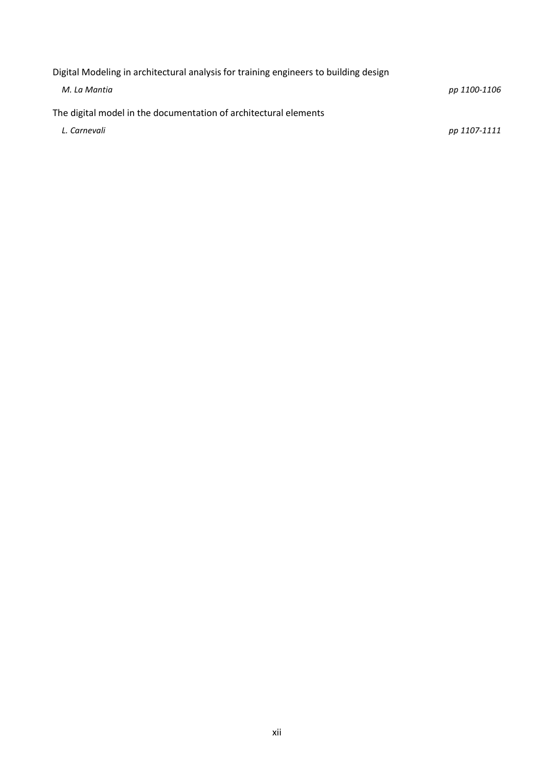[Digital Modeling in architectural analysis for training engineers to building design](http://www.improve2011.it/Full_Paper/232.pdf) *M. La Mantia pp 1100-1106* [The digital model in the documentation of architectural elements](http://www.improve2011.it/Full_Paper/233.pdf) *L. Carnevali pp 1107-1111*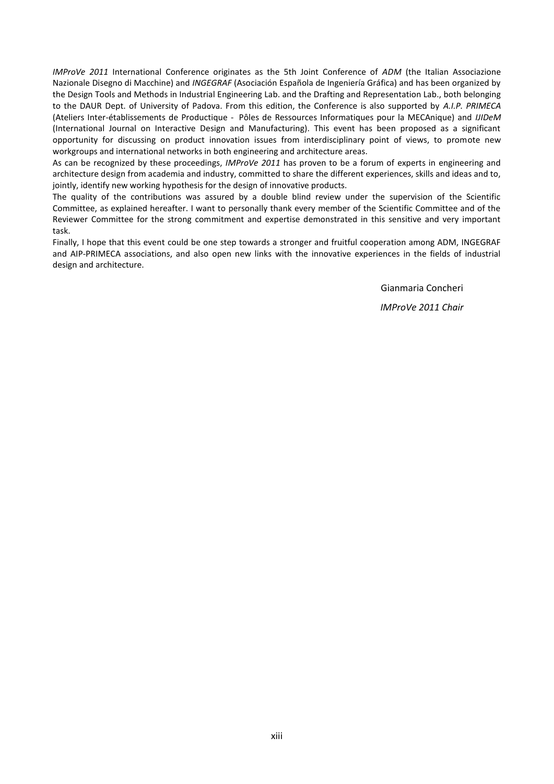*IMProVe 2011* International Conference originates as the 5th Joint Conference of *ADM* (the Italian Associazione Nazionale Disegno di Macchine) and *INGEGRAF* (Asociación Española de Ingeniería Gráfica) and has been organized by the Design Tools and Methods in Industrial Engineering Lab. and the Drafting and Representation Lab., both belonging to the DAUR Dept. of University of Padova. From this edition, the Conference is also supported by *A.I.P. PRIMECA* (Ateliers Inter-établissements de Productique - Pôles de Ressources Informatiques pour la MECAnique) and *IJIDeM* (International Journal on Interactive Design and Manufacturing). This event has been proposed as a significant opportunity for discussing on product innovation issues from interdisciplinary point of views, to promote new workgroups and international networks in both engineering and architecture areas.

As can be recognized by these proceedings, *IMProVe 2011* has proven to be a forum of experts in engineering and architecture design from academia and industry, committed to share the different experiences, skills and ideas and to, jointly, identify new working hypothesis for the design of innovative products.

The quality of the contributions was assured by a double blind review under the supervision of the Scientific Committee, as explained hereafter. I want to personally thank every member of the Scientific Committee and of the Reviewer Committee for the strong commitment and expertise demonstrated in this sensitive and very important task.

Finally, I hope that this event could be one step towards a stronger and fruitful cooperation among ADM, INGEGRAF and AIP-PRIMECA associations, and also open new links with the innovative experiences in the fields of industrial design and architecture.

> Gianmaria Concheri *IMProVe 2011 Chair*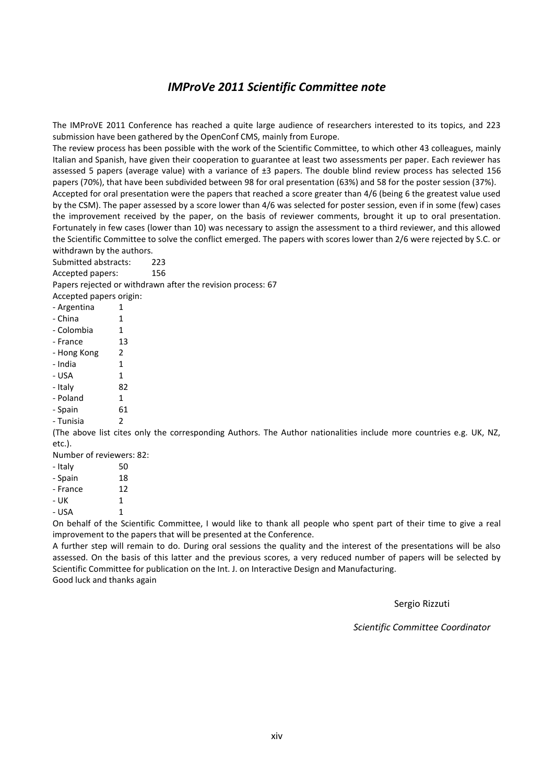#### *IMProVe 2011 Scientific Committee note*

The IMProVE 2011 Conference has reached a quite large audience of researchers interested to its topics, and 223 submission have been gathered by the OpenConf CMS, mainly from Europe.

The review process has been possible with the work of the Scientific Committee, to which other 43 colleagues, mainly Italian and Spanish, have given their cooperation to guarantee at least two assessments per paper. Each reviewer has assessed 5 papers (average value) with a variance of ±3 papers. The double blind review process has selected 156 papers (70%), that have been subdivided between 98 for oral presentation (63%) and 58 for the poster session (37%).

Accepted for oral presentation were the papers that reached a score greater than 4/6 (being 6 the greatest value used by the CSM). The paper assessed by a score lower than 4/6 was selected for poster session, even if in some (few) cases the improvement received by the paper, on the basis of reviewer comments, brought it up to oral presentation. Fortunately in few cases (lower than 10) was necessary to assign the assessment to a third reviewer, and this allowed the Scientific Committee to solve the conflict emerged. The papers with scores lower than 2/6 were rejected by S.C. or withdrawn by the authors.

Submitted abstracts: 223 Accepted papers: 156

Papers rejected or withdrawn after the revision process: 67

| Accepted papers origin: |    |
|-------------------------|----|
| - Argentina             | 1  |
| - China                 | 1  |
| - Colombia              | 1  |
| - France                | 13 |
| - Hong Kong             | 2  |
| - India                 | 1  |
| - USA                   | 1  |
| - Italy                 | 82 |
| - Poland                | 1  |
| - Spain                 | 61 |
| - Tunisia               | 2  |

(The above list cites only the corresponding Authors. The Author nationalities include more countries e.g. UK, NZ, etc.).

Number of reviewers: 82: - Italy 50

| - Spain  | 18 |
|----------|----|
| - France | 12 |
| - UK     | 1  |
| - USA    | 1  |

On behalf of the Scientific Committee, I would like to thank all people who spent part of their time to give a real improvement to the papers that will be presented at the Conference.

A further step will remain to do. During oral sessions the quality and the interest of the presentations will be also assessed. On the basis of this latter and the previous scores, a very reduced number of papers will be selected by Scientific Committee for publication on the Int. J. on Interactive Design and Manufacturing. Good luck and thanks again

Sergio Rizzuti

*Scientific Committee Coordinator*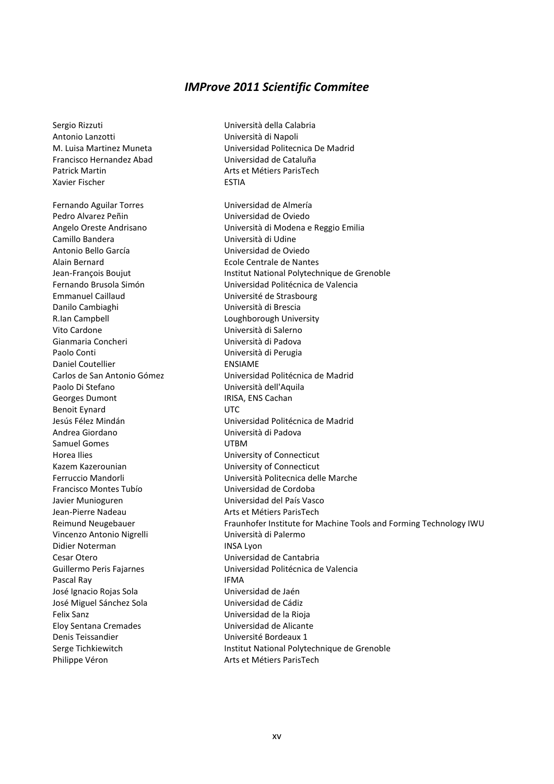#### *IMProve 2011 Scientific Commitee*

Francisco Hernandez Abad Universidad de Cataluña Patrick Martin **Arts et Métiers ParisTech** Xavier Fischer **ESTIA** Fernando Aguilar Torres Victoriano de Almería Pedro Alvarez Peñin **National European Educator Universidad de Oviedo** Camillo Bandera **Università di Udine** Antonio Bello García Universidad de Oviedo Alain Bernard Ecole Centrale de Nantes Emmanuel Caillaud Université de Strasbourg Danilo Cambiaghi Università di Brescia R.Ian Campbell **R.Ian Campbell Loughborough University** Vito Cardone Università di Salerno Gianmaria Concheri **Change and Concheri** Università di Padova Paolo Conti Università di Perugia Daniel Coutellier **ENSIAME** Paolo Di Stefano Università dell'Aquila Georges Dumont **IRISA, ENS Cachan** Benoit Eynard UTC Andrea Giordano Università di Padova Samuel Gomes **UTBM** Horea Ilies University of Connecticut Kazem Kazerounian University of Connecticut Francisco Montes Tubío Universidad de Cordoba Javier Munioguren Universidad del País Vasco Jean-Pierre Nadeau **Arts et Métiers ParisTech** Vincenzo Antonio Nigrelli Università di Palermo Didier Noterman **INSA Lyon** Cesar Otero Universidad de Cantabria Pascal Ray **IFMA** José Ignacio Rojas Sola Universidad de Jaén José Miguel Sánchez Sola Universidad de Cádiz Felix Sanz Universidad de la Rioja Eloy Sentana Cremades Universidad de Alicante Denis Teissandier Université Bordeaux 1

Sergio Rizzuti Università della Calabria Antonio Lanzotti Università di Napoli M. Luisa Martinez Muneta Universidad Politecnica De Madrid

Angelo Oreste Andrisano Università di Modena e Reggio Emilia Jean-François Boujut Institut National Polytechnique de Grenoble Fernando Brusola Simón Universidad Politécnica de Valencia Carlos de San Antonio Gómez Universidad Politécnica de Madrid Jesús Félez Mindán Universidad Politécnica de Madrid Ferruccio Mandorli Università Politecnica delle Marche Reimund Neugebauer Fraunhofer Institute for Machine Tools and Forming Technology IWU Guillermo Peris Fajarnes Universidad Politécnica de Valencia Serge Tichkiewitch **Institut National Polytechnique de Grenoble** Philippe Véron **Arts et Métiers ParisTech**